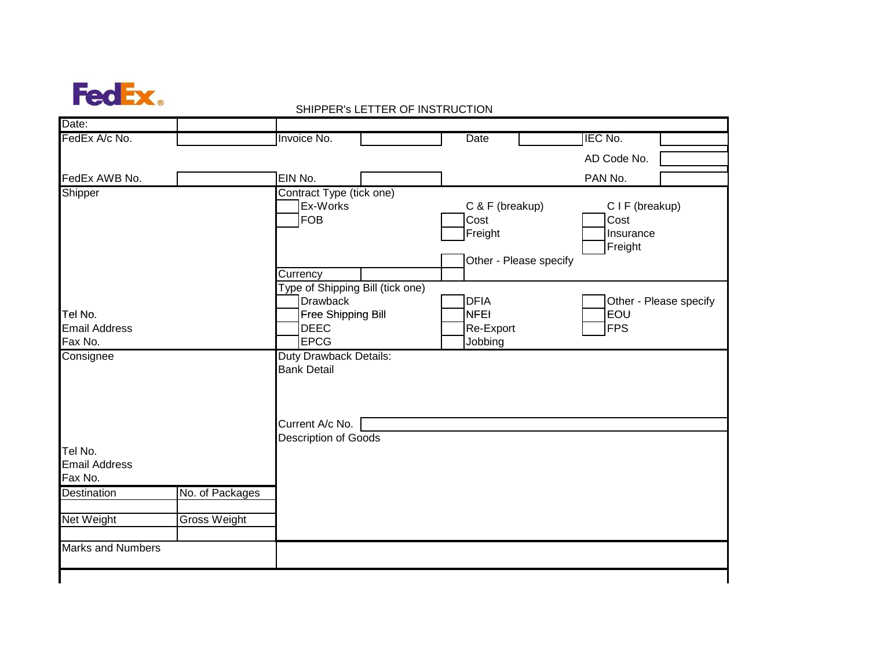

| IEC No.<br>FedEx A/c No.<br>Invoice No.<br><b>Date</b><br>AD Code No.<br>EIN No.<br>FedEx AWB No.<br>PAN No.<br>Shipper<br>Contract Type (tick one)<br>Ex-Works<br>C & F (breakup)<br>CIF (breakup)<br>FOB<br>Cost<br>Cost<br>Freight<br>Insurance<br>Freight<br>Other - Please specify<br>Currency<br>Type of Shipping Bill (tick one)<br><b>Drawback</b><br><b>DFIA</b><br>Other - Please specify<br>EOU<br>Free Shipping Bill<br><b>NFEI</b><br><b>DEEC</b><br><b>FPS</b><br>Re-Export<br><b>EPCG</b><br>Jobbing<br><b>Duty Drawback Details:</b><br><b>Bank Detail</b><br>Current A/c No.<br>Description of Goods<br>No. of Packages<br><b>Gross Weight</b> | Date: |  | ייטו ויט וויסט זו באו יום ווי ובאו מאו או הייט ווי |  |  |
|-----------------------------------------------------------------------------------------------------------------------------------------------------------------------------------------------------------------------------------------------------------------------------------------------------------------------------------------------------------------------------------------------------------------------------------------------------------------------------------------------------------------------------------------------------------------------------------------------------------------------------------------------------------------|-------|--|----------------------------------------------------|--|--|
|                                                                                                                                                                                                                                                                                                                                                                                                                                                                                                                                                                                                                                                                 |       |  |                                                    |  |  |
|                                                                                                                                                                                                                                                                                                                                                                                                                                                                                                                                                                                                                                                                 |       |  |                                                    |  |  |
|                                                                                                                                                                                                                                                                                                                                                                                                                                                                                                                                                                                                                                                                 |       |  |                                                    |  |  |
|                                                                                                                                                                                                                                                                                                                                                                                                                                                                                                                                                                                                                                                                 |       |  |                                                    |  |  |
| Tel No.<br><b>Email Address</b><br>Fax No.                                                                                                                                                                                                                                                                                                                                                                                                                                                                                                                                                                                                                      |       |  |                                                    |  |  |
| Consignee<br>Tel No.<br><b>Email Address</b><br>Fax No.<br>Destination<br>Net Weight<br><b>Marks and Numbers</b>                                                                                                                                                                                                                                                                                                                                                                                                                                                                                                                                                |       |  |                                                    |  |  |
|                                                                                                                                                                                                                                                                                                                                                                                                                                                                                                                                                                                                                                                                 |       |  |                                                    |  |  |
|                                                                                                                                                                                                                                                                                                                                                                                                                                                                                                                                                                                                                                                                 |       |  |                                                    |  |  |
|                                                                                                                                                                                                                                                                                                                                                                                                                                                                                                                                                                                                                                                                 |       |  |                                                    |  |  |
|                                                                                                                                                                                                                                                                                                                                                                                                                                                                                                                                                                                                                                                                 |       |  |                                                    |  |  |
|                                                                                                                                                                                                                                                                                                                                                                                                                                                                                                                                                                                                                                                                 |       |  |                                                    |  |  |

## SHIPPER's LETTER OF INSTRUCTION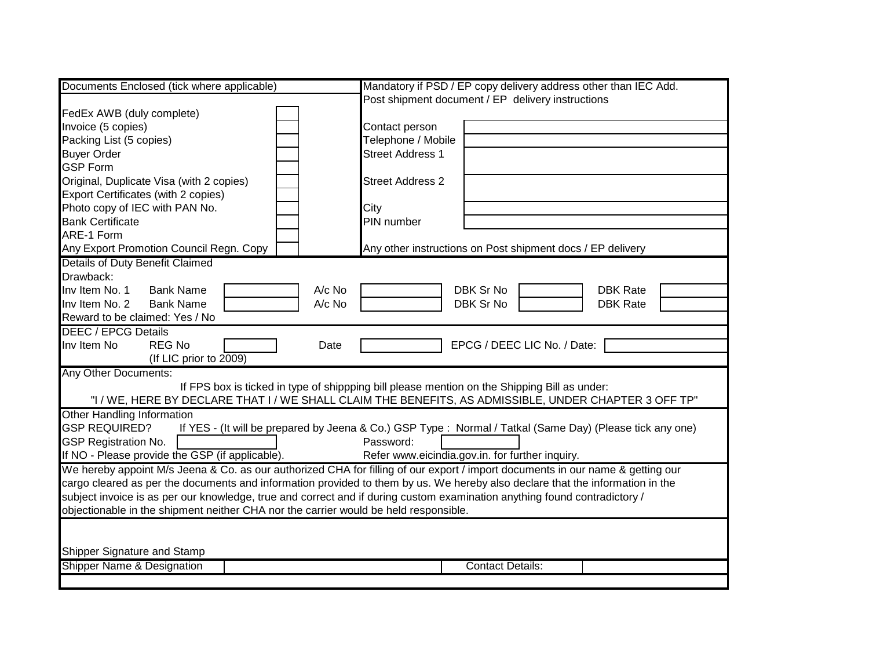| Documents Enclosed (tick where applicable)                                                                                     | Mandatory if PSD / EP copy delivery address other than IEC Add.                                           |  |  |  |  |  |  |  |
|--------------------------------------------------------------------------------------------------------------------------------|-----------------------------------------------------------------------------------------------------------|--|--|--|--|--|--|--|
|                                                                                                                                | Post shipment document / EP delivery instructions                                                         |  |  |  |  |  |  |  |
| FedEx AWB (duly complete)                                                                                                      |                                                                                                           |  |  |  |  |  |  |  |
| Invoice (5 copies)                                                                                                             | Contact person                                                                                            |  |  |  |  |  |  |  |
| Packing List (5 copies)                                                                                                        | Telephone / Mobile                                                                                        |  |  |  |  |  |  |  |
| <b>Buyer Order</b>                                                                                                             | <b>Street Address 1</b>                                                                                   |  |  |  |  |  |  |  |
| <b>GSP Form</b>                                                                                                                |                                                                                                           |  |  |  |  |  |  |  |
| Original, Duplicate Visa (with 2 copies)                                                                                       | <b>Street Address 2</b>                                                                                   |  |  |  |  |  |  |  |
| Export Certificates (with 2 copies)                                                                                            |                                                                                                           |  |  |  |  |  |  |  |
| Photo copy of IEC with PAN No.                                                                                                 | City                                                                                                      |  |  |  |  |  |  |  |
| <b>Bank Certificate</b>                                                                                                        | PIN number                                                                                                |  |  |  |  |  |  |  |
| ARE-1 Form                                                                                                                     |                                                                                                           |  |  |  |  |  |  |  |
| Any Export Promotion Council Regn. Copy                                                                                        | Any other instructions on Post shipment docs / EP delivery                                                |  |  |  |  |  |  |  |
| <b>Details of Duty Benefit Claimed</b>                                                                                         |                                                                                                           |  |  |  |  |  |  |  |
| Drawback:                                                                                                                      |                                                                                                           |  |  |  |  |  |  |  |
| Inv Item No. 1<br><b>Bank Name</b><br>A/c No                                                                                   | DBK Sr No<br><b>DBK Rate</b>                                                                              |  |  |  |  |  |  |  |
| Inv Item No. 2<br>A/c No<br><b>Bank Name</b>                                                                                   | DBK Sr No<br><b>DBK Rate</b>                                                                              |  |  |  |  |  |  |  |
| Reward to be claimed: Yes / No                                                                                                 |                                                                                                           |  |  |  |  |  |  |  |
| <b>DEEC / EPCG Details</b>                                                                                                     |                                                                                                           |  |  |  |  |  |  |  |
| <b>REG No</b><br>Inv Item No<br>Date                                                                                           | EPCG / DEEC LIC No. / Date:                                                                               |  |  |  |  |  |  |  |
| (If LIC prior to 2009)                                                                                                         |                                                                                                           |  |  |  |  |  |  |  |
| <b>Any Other Documents:</b>                                                                                                    |                                                                                                           |  |  |  |  |  |  |  |
|                                                                                                                                | If FPS box is ticked in type of shippping bill please mention on the Shipping Bill as under:              |  |  |  |  |  |  |  |
|                                                                                                                                | "I / WE, HERE BY DECLARE THAT I / WE SHALL CLAIM THE BENEFITS, AS ADMISSIBLE, UNDER CHAPTER 3 OFF TP"     |  |  |  |  |  |  |  |
| <b>Other Handling Information</b>                                                                                              |                                                                                                           |  |  |  |  |  |  |  |
| <b>GSP REQUIRED?</b>                                                                                                           | If YES - (It will be prepared by Jeena & Co.) GSP Type : Normal / Tatkal (Same Day) (Please tick any one) |  |  |  |  |  |  |  |
| <b>GSP Registration No.</b><br>Password:                                                                                       |                                                                                                           |  |  |  |  |  |  |  |
| If NO - Please provide the GSP (if applicable).<br>Refer www.eicindia.gov.in. for further inquiry.                             |                                                                                                           |  |  |  |  |  |  |  |
| We hereby appoint M/s Jeena & Co. as our authorized CHA for filling of our export / import documents in our name & getting our |                                                                                                           |  |  |  |  |  |  |  |
| cargo cleared as per the documents and information provided to them by us. We hereby also declare that the information in the  |                                                                                                           |  |  |  |  |  |  |  |
| subject invoice is as per our knowledge, true and correct and if during custom examination anything found contradictory /      |                                                                                                           |  |  |  |  |  |  |  |
| objectionable in the shipment neither CHA nor the carrier would be held responsible.                                           |                                                                                                           |  |  |  |  |  |  |  |
|                                                                                                                                |                                                                                                           |  |  |  |  |  |  |  |
|                                                                                                                                |                                                                                                           |  |  |  |  |  |  |  |
| Shipper Signature and Stamp                                                                                                    |                                                                                                           |  |  |  |  |  |  |  |
| Shipper Name & Designation<br><b>Contact Details:</b>                                                                          |                                                                                                           |  |  |  |  |  |  |  |
|                                                                                                                                |                                                                                                           |  |  |  |  |  |  |  |